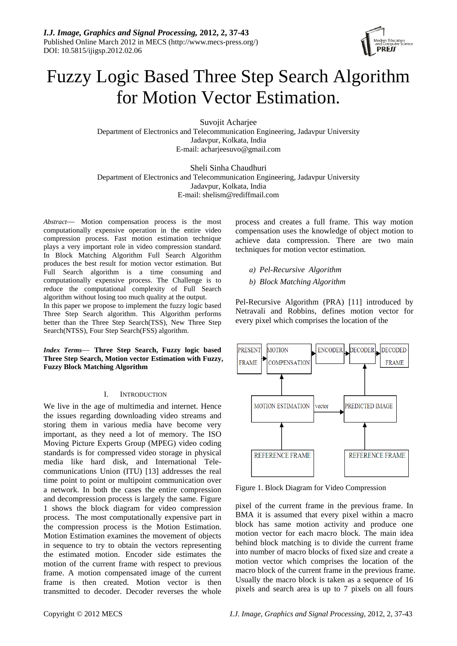

# Fuzzy Logic Based Three Step Search Algorithm for Motion Vector Estimation.

Suvojit Acharjee Department of Electronics and Telecommunication Engineering, Jadavpur University Jadavpur, Kolkata, India E-mail: acharjeesuvo@gmail.com

Sheli Sinha Chaudhuri Department of Electronics and Telecommunication Engineering, Jadavpur University Jadavpur, Kolkata, India E-mail: shelism@rediffmail.com

*Abstract*— Motion compensation process is the most computationally expensive operation in the entire video compression process. Fast motion estimation technique plays a very important role in video compression standard. In Block Matching Algorithm Full Search Algorithm produces the best result for motion vector estimation. But Full Search algorithm is a time consuming and computationally expensive process. The Challenge is to reduce the computational complexity of Full Search algorithm without losing too much quality at the output.

In this paper we propose to implement the fuzzy logic based Three Step Search algorithm. This Algorithm performs better than the Three Step Search(TSS), New Three Step Search(NTSS), Four Step Search(FSS) algorithm.

*Index Terms*— **Three Step Search, Fuzzy logic based Three Step Search, Motion vector Estimation with Fuzzy, Fuzzy Block Matching Algorithm** 

# I. INTRODUCTION

We live in the age of multimedia and internet. Hence the issues regarding downloading video streams and storing them in various media have become very important, as they need a lot of memory. The ISO Moving Picture Experts Group (MPEG) video coding standards is for compressed video storage in physical media like hard disk, and International Telecommunications Union (ITU) [13] addresses the real time point to point or multipoint communication over a network. In both the cases the entire compression and decompression process is largely the same. Figure 1 shows the block diagram for video compression process. The most computationally expensive part in the compression process is the Motion Estimation. Motion Estimation examines the movement of objects in sequence to try to obtain the vectors representing the estimated motion. Encoder side estimates the motion of the current frame with respect to previous frame. A motion compensated image of the current frame is then created. Motion vector is then transmitted to decoder. Decoder reverses the whole

process and creates a full frame. This way motion compensation uses the knowledge of object motion to achieve data compression. There are two main techniques for motion vector estimation.

- *a) Pel-Recursive Algorithm*
- *b) Block Matching Algorithm*

Pel-Recursive Algorithm (PRA) [11] introduced by Netravali and Robbins, defines motion vector for every pixel which comprises the location of the



Figure 1. Block Diagram for Video Compression

pixel of the current frame in the previous frame. In BMA it is assumed that every pixel within a macro block has same motion activity and produce one motion vector for each macro block. The main idea behind block matching is to divide the current frame into number of macro blocks of fixed size and create a motion vector which comprises the location of the macro block of the current frame in the previous frame. Usually the macro block is taken as a sequence of 16 pixels and search area is up to 7 pixels on all fours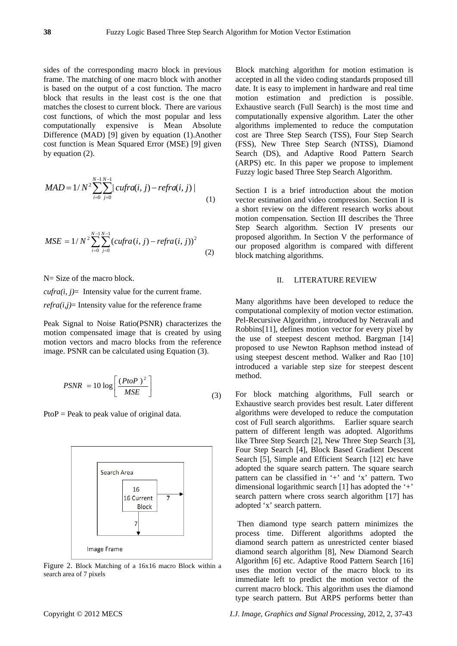sides of the corresponding macro block in previous frame. The matching of one macro block with another is based on the output of a cost function. The macro block that results in the least cost is the one that matches the closest to current block. There are various cost functions, of which the most popular and less computationally expensive is Mean Absolute Difference (MAD) [9] given by equation (1).Another cost function is Mean Squared Error (MSE) [9] given by equation (2).

$$
MAD = 1/N^2 \sum_{i=0}^{N-1} \sum_{j=0}^{N-1} |cufra(i, j) - refra(i, j)|
$$
\n(1)

$$
MSE = 1/N^2 \sum_{i=0}^{N-1} \sum_{j=0}^{N-1} (cufra(i, j) - refra(i, j))^2
$$
 (2)

N = Size of the macro block.

*cufra(i, j)*= Intensity value for the current frame.  $refra(i,j)$ = Intensity value for the reference frame

Peak Signal to Noise Ratio(PSNR) characterizes the motion compensated image that is created by using motion vectors and macro blocks from the reference image. PSNR can be calculated using Equation (3).

$$
PSNR = 10 \log \left[ \frac{(PtoP)^2}{MSE} \right]
$$
 (3)

 $PtoP = Peak$  to peak value of original data.



Figure 2. Block Matching of a 16x16 macro Block within a search area of 7 pixels

Block matching algorithm for motion estimation is accepted in all the video coding standards proposed till date. It is easy to implement in hardware and real time motion estimation and prediction is possible. Exhaustive search (Full Search) is the most time and computationally expensive algorithm. Later the other algorithms implemented to reduce the computation cost are Three Step Search (TSS), Four Step Search (FSS), New Three Step Search (NTSS), Diamond Search (DS), and Adaptive Rood Pattern Search (ARPS) etc. In this paper we propose to implement Fuzzy logic based Three Step Search Algorithm.

Section I is a brief introduction about the motion vector estimation and video compression. Section II is a short review on the different research works about motion compensation. Section III describes the Three Step Search algorithm. Section IV presents our proposed algorithm. In Section V the performance of our proposed algorithm is compared with different block matching algorithms.

#### II. LITERATURE REVIEW

Many algorithms have been developed to reduce the computational complexity of motion vector estimation. Pel-Recursive Algorithm , introduced by Netravali and Robbins[11], defines motion vector for every pixel by the use of steepest descent method. Bargman [14] proposed to use Newton Raphson method instead of using steepest descent method. Walker and Rao [10] introduced a variable step size for steepest descent method.

For block matching algorithms, Full search or Exhaustive search provides best result. Later different algorithms were developed to reduce the computation cost of Full search algorithms. Earlier square search pattern of different length was adopted. Algorithms like Three Step Search [2], New Three Step Search [3], Four Step Search [4], Block Based Gradient Descent Search [5], Simple and Efficient Search [12] etc have adopted the square search pattern. The square search pattern can be classified in '+' and 'x' pattern. Two dimensional logarithmic search [1] has adopted the '+' search pattern where cross search algorithm [17] has adopted 'x' search pattern.

 Then diamond type search pattern minimizes the process time. Different algorithms adopted the diamond search pattern as unrestricted center biased diamond search algorithm [8], New Diamond Search Algorithm [6] etc. Adaptive Rood Pattern Search [16] uses the motion vector of the macro block to its immediate left to predict the motion vector of the current macro block. This algorithm uses the diamond type search pattern. But ARPS performs better than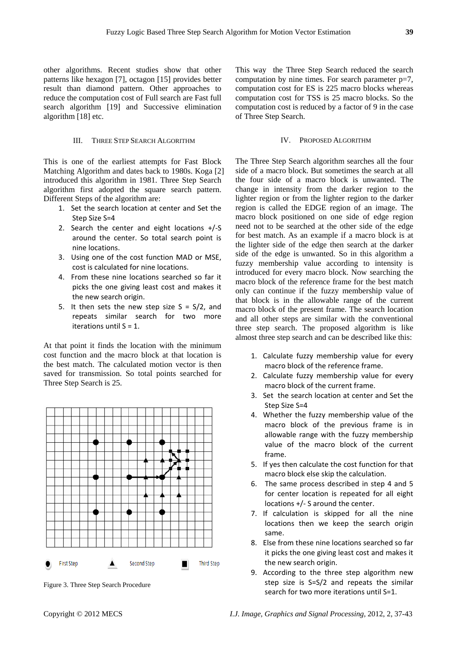other algorithms. Recent studies show that other patterns like hexagon [7], octagon [15] provides better result than diamond pattern. Other approaches to reduce the computation cost of Full search are Fast full search algorithm [19] and Successive elimination algorithm [18] etc.

## III. THREE STEP SEARCH ALGORITHM

This is one of the earliest attempts for Fast Block Matching Algorithm and dates back to 1980s. Koga [2] introduced this algorithm in 1981. Three Step Search algorithm first adopted the square search pattern. Different Steps of the algorithm are:

- 1. Set the search location at center and Set the Step Size S=4
- 2. Search the center and eight locations +/‐S around the center. So total search point is nine locations.
- 3. Using one of the cost function MAD or MSE, cost is calculated for nine locations.
- 4. From these nine locations searched so far it picks the one giving least cost and makes it the new search origin.
- 5. It then sets the new step size  $S = S/2$ , and repeats similar search for two more iterations until S = 1.

At that point it finds the location with the minimum cost function and the macro block at that location is the best match. The calculated motion vector is then saved for transmission. So total points searched for Three Step Search is 25.



Figure 3. Three Step Search Procedure

This way the Three Step Search reduced the search computation by nine times. For search parameter p=7, computation cost for ES is 225 macro blocks whereas computation cost for TSS is 25 macro blocks. So the computation cost is reduced by a factor of 9 in the case of Three Step Search.

### IV. PROPOSED ALGORITHM

The Three Step Search algorithm searches all the four side of a macro block. But sometimes the search at all the four side of a macro block is unwanted. The change in intensity from the darker region to the lighter region or from the lighter region to the darker region is called the EDGE region of an image. The macro block positioned on one side of edge region need not to be searched at the other side of the edge for best match. As an example if a macro block is at the lighter side of the edge then search at the darker side of the edge is unwanted. So in this algorithm a fuzzy membership value according to intensity is introduced for every macro block. Now searching the macro block of the reference frame for the best match only can continue if the fuzzy membership value of that block is in the allowable range of the current macro block of the present frame. The search location and all other steps are similar with the conventional three step search. The proposed algorithm is like almost three step search and can be described like this:

- 1. Calculate fuzzy membership value for every macro block of the reference frame.
- 2. Calculate fuzzy membership value for every macro block of the current frame.
- 3. Set the search location at center and Set the Step Size S=4
- 4. Whether the fuzzy membership value of the macro block of the previous frame is in allowable range with the fuzzy membership value of the macro block of the current frame.
- 5. If yes then calculate the cost function for that macro block else skip the calculation.
- 6. The same process described in step 4 and 5 for center location is repeated for all eight locations +/‐ S around the center.
- 7. If calculation is skipped for all the nine locations then we keep the search origin same.
- 8. Else from these nine locations searched so far it picks the one giving least cost and makes it the new search origin.
- 9. According to the three step algorithm new step size is S=S/2 and repeats the similar search for two more iterations until S=1.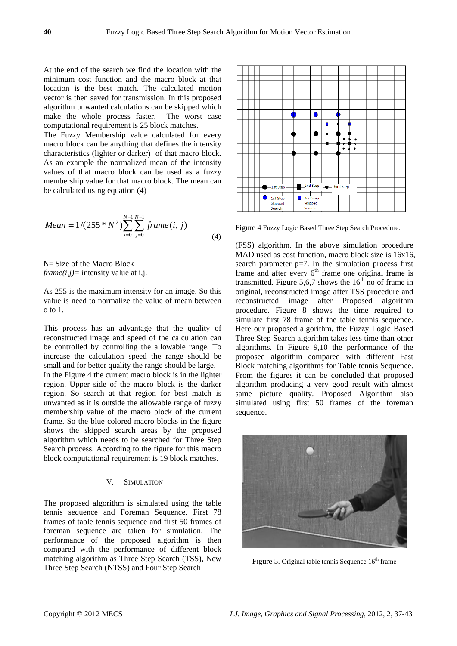At the end of the search we find the location with the minimum cost function and the macro block at that location is the best match. The calculated motion vector is then saved for transmission. In this proposed algorithm unwanted calculations can be skipped which make the whole process faster. The worst case computational requirement is 25 block matches.

The Fuzzy Membership value calculated for every macro block can be anything that defines the intensity characteristics (lighter or darker) of that macro block. As an example the normalized mean of the intensity values of that macro block can be used as a fuzzy membership value for that macro block. The mean can be calculated using equation (4)

*Mean* = 
$$
1/(255 * N^2) \sum_{i=0}^{N-1} \sum_{j=0}^{N-1} frame(i, j)
$$
 (4)

N= Size of the Macro Block  $frame(i, j)$ = intensity value at i,j.

As 255 is the maximum intensity for an image. So this value is need to normalize the value of mean between o to 1.

This process has an advantage that the quality of reconstructed image and speed of the calculation can be controlled by controlling the allowable range. To increase the calculation speed the range should be small and for better quality the range should be large.

In the Figure 4 the current macro block is in the lighter region. Upper side of the macro block is the darker region. So search at that region for best match is unwanted as it is outside the allowable range of fuzzy membership value of the macro block of the current frame. So the blue colored macro blocks in the figure shows the skipped search areas by the proposed algorithm which needs to be searched for Three Step Search process. According to the figure for this macro block computational requirement is 19 block matches.

### V. SIMULATION

The proposed algorithm is simulated using the table tennis sequence and Foreman Sequence. First 78 frames of table tennis sequence and first 50 frames of foreman sequence are taken for simulation. The performance of the proposed algorithm is then compared with the performance of different block matching algorithm as Three Step Search (TSS), New Three Step Search (NTSS) and Four Step Search



Figure 4 Fuzzy Logic Based Three Step Search Procedure.

(FSS) algorithm. In the above simulation procedure MAD used as cost function, macro block size is 16x16, search parameter  $p=7$ . In the simulation process first frame and after every  $6<sup>th</sup>$  frame one original frame is transmitted. Figure 5,6,7 shows the  $16<sup>th</sup>$  no of frame in original, reconstructed image after TSS procedure and reconstructed image after Proposed algorithm procedure. Figure 8 shows the time required to simulate first 78 frame of the table tennis sequence. Here our proposed algorithm, the Fuzzy Logic Based Three Step Search algorithm takes less time than other algorithms. In Figure 9,10 the performance of the proposed algorithm compared with different Fast Block matching algorithms for Table tennis Sequence. From the figures it can be concluded that proposed algorithm producing a very good result with almost same picture quality. Proposed Algorithm also simulated using first 50 frames of the foreman sequence.



Figure 5. Original table tennis Sequence  $16<sup>th</sup>$  frame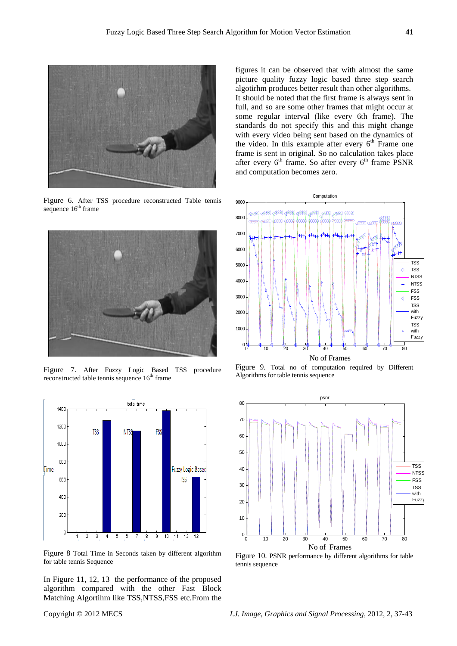

Figure 6. After TSS procedure reconstructed Table tennis sequence  $16<sup>th</sup>$  frame



Figure 7. After Fuzzy Logic Based TSS procedure reconstructed table tennis sequence  $16<sup>th</sup>$  frame



Figure 8 Total Time in Seconds taken by different algorithm for table tennis Sequence

In Figure 11, 12, 13 the performance of the proposed algorithm compared with the other Fast Block Matching Algortihm like TSS,NTSS,FSS etc.From the

Computation 9000 800 7000 600 TSS 5000 TSS  $\circ$ **NTSS** 4000 NTSS FSS 3000 FSS đ TSS 2000 with Fuzzy TSS 1000 with Fuzzy 0 0 10 20 30 40 50 60 70 80 No of Frames

Figure 9. Total no of computation required by Different Algorithms for table tennis sequence



Figure 10. PSNR performance by different algorithms for table tennis sequence

figures it can be observed that with almost the same picture quality fuzzy logic based three step search algotirhm produces better result than other algorithms. It should be noted that the first frame is always sent in full, and so are some other frames that might occur at some regular interval (like every 6th frame). The standards do not specify this and this might change with every video being sent based on the dynamics of the video. In this example after every  $6<sup>th</sup>$  Frame one frame is sent in original. So no calculation takes place after every  $6<sup>th</sup>$  frame. So after every  $6<sup>th</sup>$  frame PSNR and computation becomes zero.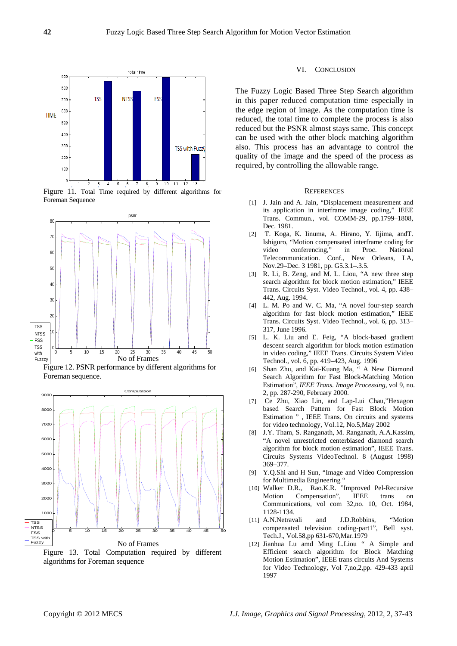

Figure 11. Total Time required by different algorithms for Foreman Sequence







Figure 13. Total Computation required by different algorithms for Foreman sequence

#### VI. CONCLUSION

The Fuzzy Logic Based Three Step Search algorithm in this paper reduced computation time especially in the edge region of image. As the computation time is reduced, the total time to complete the process is also reduced but the PSNR almost stays same. This concept can be used with the other block matching algorithm also. This process has an advantage to control the quality of the image and the speed of the process as required, by controlling the allowable range.

#### **REFERENCES**

- [1] J. Jain and A. Jain, "Displacement measurement and its application in interframe image coding," IEEE Trans. Commun., vol. COMM-29, pp.1799–1808, Dec. 1981.
- [2] T. Koga, K. Iinuma, A. Hirano, Y. Iijima, andT. Ishiguro, "Motion compensated interframe coding for video conferencing," in Proc. National Telecommunication. Conf., New Orleans, LA, Nov.29–Dec. 3 1981, pp. G5.3.1–.3.5.
- [3] R. Li, B. Zeng, and M. L. Liou, "A new three step search algorithm for block motion estimation," IEEE Trans. Circuits Syst. Video Technol., vol. 4, pp. 438– 442, Aug. 1994.
- [4] L. M. Po and W. C. Ma, "A novel four-step search algorithm for fast block motion estimation," IEEE Trans. Circuits Syst. Video Technol., vol. 6, pp. 313– 317, June 1996.
- [5] L. K. Liu and E. Feig, "A block-based gradient descent search algorithm for block motion estimation in video coding," IEEE Trans. Circuits System Video Technol., vol. 6, pp. 419–423, Aug. 1996
- [6] Shan Zhu, and Kai-Kuang Ma, " A New Diamond Search Algorithm for Fast Block-Matching Motion Estimation", *IEEE Trans. Image Processing*, vol 9, no. 2, pp. 287-290, February 2000.
- [7] Ce Zhu, Xiao Lin, and Lap-Lui Chau,"Hexagon based Search Pattern for Fast Block Motion Estimation " , IEEE Trans. On circuits and systems for video technology, Vol.12, No.5,May 2002
- [8] J.Y. Tham, S. Ranganath, M. Ranganath, A.A.Kassim, "A novel unrestricted centerbiased diamond search algorithm for block motion estimation", IEEE Trans. Circuits Systems VideoTechnol. 8 (August 1998) 369–377.
- [9] Y.Q.Shi and H Sun, "Image and Video Compression for Multimedia Engineering "
- [10] Walker D.R., Rao.K.R. "Improved Pel-Recursive Motion Compensation", IEEE trans on Communications, vol com 32,no. 10, Oct. 1984, 1128-1134.
- [11] A.N.Netravali and J.D.Robbins, "Motion compensated television coding-part1", Bell syst. Tech.J., Vol.58,pp 631-670,Mar.1979
- [12] Jianhua Lu amd Ming L.Liou " A Simple and Efficient search algorithm for Block Matching Motion Estimation", IEEE trans circuits And Systems for Video Technology, Vol 7,no,2,pp. 429-433 april 1997